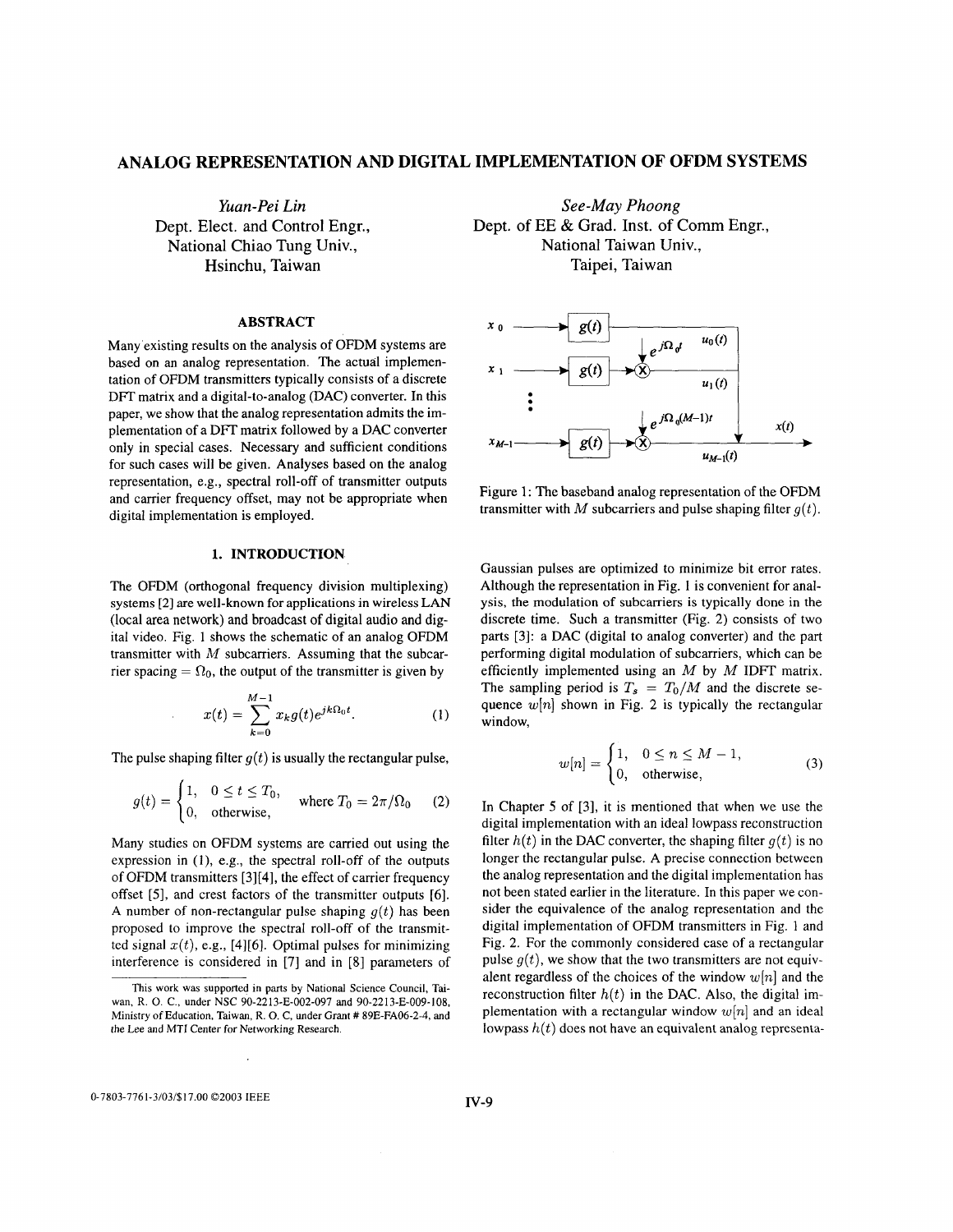## <span id="page-0-0"></span>**ANALOG REPRESENTATION AND DIGITAL IMPLEMENTATION OF OFDM SYSTEMS**

*Yuan-Pei Lin*  Dept. Elect. and Control Engr., National Chiao Tung Univ., Hsinchu, Taiwan

## **ABSTRACT**

Many existing results on the analysis of OFDM systems are based on an analog representation. The actual implementation of OFDM transmitters typically consists of a discrete DFT matrix and a digital-to-analog (DAC) converter. In this paper, we show that the analog representation admits the implementation of a DFT matrix followed by a DAC converter only in special cases. Necessary and sufficient conditions for such cases will be given. Analyses based on the analog representation, e.g., spectral roll-off of transmitter outputs and carrier frequency offset, may not be appropriate when digital implementation is employed.

# **1. INTRODUCTION**

The OFDM (orthogonal frequency division multiplexing) systems [2] are well-known **for** applications in wireless **LAN**  (local area network) and broadcast of digital audio and digital video. Fig. 1 shows the schematic of an analog OFDM transmitter with *M* subcarriers. Assuming that the subcarrier spacing  $= \Omega_0$ , the output of the transmitter is given by

$$
x(t) = \sum_{k=0}^{M-1} x_k g(t) e^{jk\Omega_0 t}.
$$
 (1)

The pulse shaping filter  $g(t)$  is usually the rectangular pulse,

$$
g(t) = \begin{cases} 1, & 0 \le t \le T_0, \\ 0, & \text{otherwise,} \end{cases} \text{ where } T_0 = 2\pi/\Omega_0 \qquad (2)
$$

Many studies on OFDM systems are carried out using the expression in (I), e.g., the spectral roll-off of the outputs of OFDM transmitters [3][4], the effect of carrier frequency offset (51, and crest factors of the transmitter outputs [6]. A number of non-rectangular pulse shaping  $g(t)$  has been proposed to improve the spectral roll-off of the transmitted signal  $x(t)$ , e.g., [4][6]. Optimal pulses for minimizing interference is considered in [7] and in [8] parameters of

*See-May Phoong*  Dept. of EE & Grad. Inst. of Comm Engr., National Taiwan Univ., Taipei, Taiwan



Figure 1: The baseband analog representation of the OFDM transmitter with M subcarriers and pulse shaping filter  $q(t)$ .

Gaussian pulses are optimized to minimize bit error rates. Although the representation in Fig. **1** is convenient for analysis, the modulation of subcarriers is typically done in the discrete time. Such a transmitter (Fig. 2) consists of two parts [3]: a DAC (digital to analog converter) and the part performing digital modulation of subcarriers, which can be efficiently implemented using an *M* by *M* **IDFT** matrix. The sampling period is  $T_s = T_0/M$  and the discrete sequence  $w[n]$  shown in Fig. 2 is typically the rectangular window,

$$
w[n] = \begin{cases} 1, & 0 \le n \le M - 1, \\ 0, & \text{otherwise,} \end{cases}
$$
 (3)

In Chapter 5 of [3], it is mentioned that when we use the digital implementation with an ideal lowpass reconstruction filter  $h(t)$  in the DAC converter, the shaping filter  $g(t)$  is no longer the rectangular pulse. **A** precise connection between the analog representation and the digital implementation has not been stated earlier in the literature. In this paper we consider the equivalence of the analog representation and the digital implementation of OFDM transmitters in Fig. 1 and Fig. 2. For the commonly considered case of a rectangular pulse  $g(t)$ , we show that the two transmitters are not equivalent regardless of the choices of the window *w[n]* and the reconstruction filter  $h(t)$  in the DAC. Also, the digital implementation with a rectangular window *w[n]* and an ideal lowpass *h(t)* does not have an equivalent analog representa-

0-7803-7761-3/03/\$17.00 02003 IEEE

This work was supported in parts by National Science Council, Taiwan, R. 0. C., under NSC 90-2213-E-002-097 and 90-2213-E-009-108, Ministry of Education, Taiwan, R. 0. C, under Grant # 89E-FA06-2-4, and the Lee and MTI Center for Networking Research.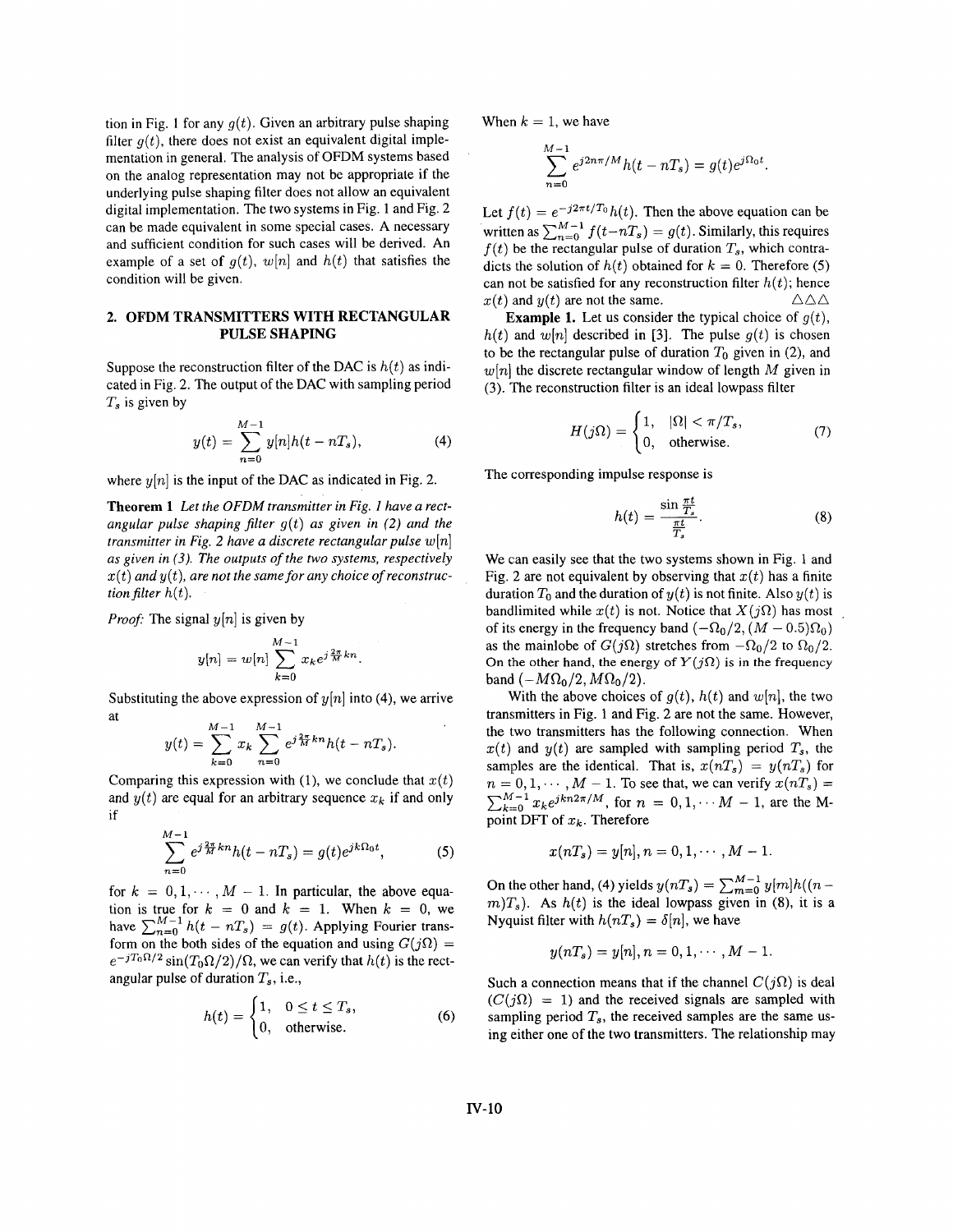tion in [Fig. 1](#page-0-0) for any  $q(t)$ . Given an arbitrary pulse shaping filter  $q(t)$ , there does not exist an equivalent digital implementation in general. The analysis of OFDM systems based on the analog representation may not be appropriate if the underlying pulse shaping filter does not allow an equivalent digital implementation. The two systems in [Fig. 1](#page-0-0) and Fig. 2 can be made equivalent in some special cases. A necessary and sufficient condition for such cases will be derived. An example of a set of  $g(t)$ ,  $w[n]$  and  $h(t)$  that satisfies the condition will be given.

## **2. OFDM TRANSMITTERS WITH RECTANGULAR PULSE SHAPING**

Suppose the reconstruction filter of the DAC is  $h(t)$  as indicated in Fig. 2. The output of the DAC with sampling period *Ts* is given by

$$
y(t) = \sum_{n=0}^{M-1} y[n]h(t - nT_s),
$$
 (4)

where  $y[n]$  is the input of the DAC as indicated in Fig. 2.

**Theorem 1** *Let the OFDM transmitter in [Fig.](#page-0-0) 1 have a rectangular pulse shaping filter*  $g(t)$  *as given in (2) and the transmitter in Fig. 2 have a discrete rectangular pulse*  $w[n]$ *as given in (3). The outputs of the two systems, respectively x(t) and* y(t), *are not the same for any choice of reconstruction filter*  $h(t)$ *.* 

*Proof:* The signal  $y[n]$  is given by

$$
y[n] = w[n] \sum_{k=0}^{M-1} x_k e^{j\frac{2\pi}{M}kn}.
$$

Substituting the above expression of  $y[n]$  into (4), we arrive at *M-1 M-1* 

$$
y(t) = \sum_{k=0}^{M-1} x_k \sum_{n=0}^{M-1} e^{j\frac{2\pi}{M}kn} h(t - nT_s).
$$

Comparing this expression with (1), we conclude that  $x(t)$ and  $y(t)$  are equal for an arbitrary sequence  $x_k$  if and only if

$$
\sum_{n=0}^{M-1} e^{j\frac{2\pi}{M}kn} h(t - nT_s) = g(t)e^{jk\Omega_0 t},
$$
 (5)

for  $k = 0, 1, \dots, M - 1$ . In particular, the above equation is true for  $k = 0$  and  $k = 1$ . When  $k = 0$ , we tion is true for  $k = 0$  and  $k = 1$ . When  $k = 0$ , we have  $\sum_{n=0}^{M-1} h(t - nT_s) = g(t)$ . Applying Fourier transform on the both sides of the equation and using  $G(j\Omega)$  = angular pulse of duration  $T_s$ , i.e.,  $e^{-jT_0\Omega/2}$  sin(T<sub>0</sub> $\Omega/2$ )/ $\Omega$ , we can verify that  $h(t)$  is the rect-

$$
h(t) = \begin{cases} 1, & 0 \le t \le T_s, \\ 0, & \text{otherwise.} \end{cases}
$$
 (6)

When  $k = 1$ , we have

$$
\sum_{n=0}^{M-1} e^{j2n\pi/M} h(t - nT_s) = g(t)e^{j\Omega_0 t}.
$$

Let  $f(t) = e^{-j2\pi t/T_0}h(t)$ . Then the above equation can be written as  $\sum_{n=0}^{M-1} f(t-nT_s) = g(t)$ . Similarly, this requires  $f(t)$  be the rectangular pulse of duration  $T_s$ , which contradicts the solution of  $h(t)$  obtained for  $k = 0$ . Therefore (5) can not be satisfied for any reconstruction filter  $h(t)$ ; hence AAA  $x(t)$  and  $y(t)$  are not the same.

**Example 1.** Let us consider the typical choice of  $g(t)$ ,  $h(t)$  and  $w[n]$  described in [3]. The pulse  $g(t)$  is chosen to be the rectangular pulse of duration  $T_0$  given in (2), and  $w[n]$  the discrete rectangular window of length M given in **(3).** The reconstruction filter is an ideal lowpass filter

$$
H(j\Omega) = \begin{cases} 1, & |\Omega| < \pi/T_s, \\ 0, & \text{otherwise.} \end{cases}
$$
 (7)

The corresponding impulse response is

$$
h(t) = \frac{\sin \frac{\pi t}{T_s}}{\frac{\pi t}{T_s}}.\tag{8}
$$

We can easily see that the two systems shown in [Fig. 1](#page-0-0) and Fig. 2 are not equivalent by observing that  $x(t)$  has a finite duration  $T_0$  and the duration of  $y(t)$  is not finite. Also  $y(t)$  is bandlimited while  $x(t)$  is not. Notice that  $X(j\Omega)$  has most of its energy in the frequency band  $(-\Omega_0/2, (M - 0.5)\Omega_0)$ as the mainlobe of  $G(j\Omega)$  stretches from  $-\Omega_0/2$  to  $\Omega_0/2$ . On the other hand, the energy of  $Y(j\Omega)$  is in the frequency band  $(-M\Omega_0/2, M\Omega_0/2)$ .

With the above choices of  $g(t)$ ,  $h(t)$  and  $w[n]$ , the two transmitters in [Fig. 1](#page-0-0) and Fig. 2 are not the same. However, the two transmitters has the following connection. When  $x(t)$  and  $y(t)$  are sampled with sampling period  $T_s$ , the samples are the identical. That is,  $x(nT_s) = y(nT_s)$  for  $n = 0, 1, \dots, M - 1$ . To see that, we can verify  $x(nT_s) =$  $m = 0, 1, \dots, M - 1$ . To see that, we can verify  $x(n1_s) =$ <br> $\sum_{k=0}^{M-1} x_k e^{jkn2\pi/M}$ , for  $n = 0, 1, \dots M - 1$ , are the Mpoint DFT of  $x_k$ . Therefore

$$
x(nT_s)=y[n], n=0,1,\cdots,M-1.
$$

On the other hand, (4) yields  $y(nT_s) = \sum_{m=0}^{M-1} y[m]h((n$  $m(T<sub>s</sub>)$ . As  $h(t)$  is the ideal lowpass given in (8), it is a Nyquist filter with  $h(nT_s) = \delta[n]$ , we have

$$
y(nT_s) = y[n], n = 0, 1, \cdots, M - 1.
$$

Such a connection means that if the channel  $C(j\Omega)$  is deal  $(C(j\Omega) = 1)$  and the received signals are sampled with sampling period  $T_s$ , the received samples are the same using either one of the two transmitters. The relationship may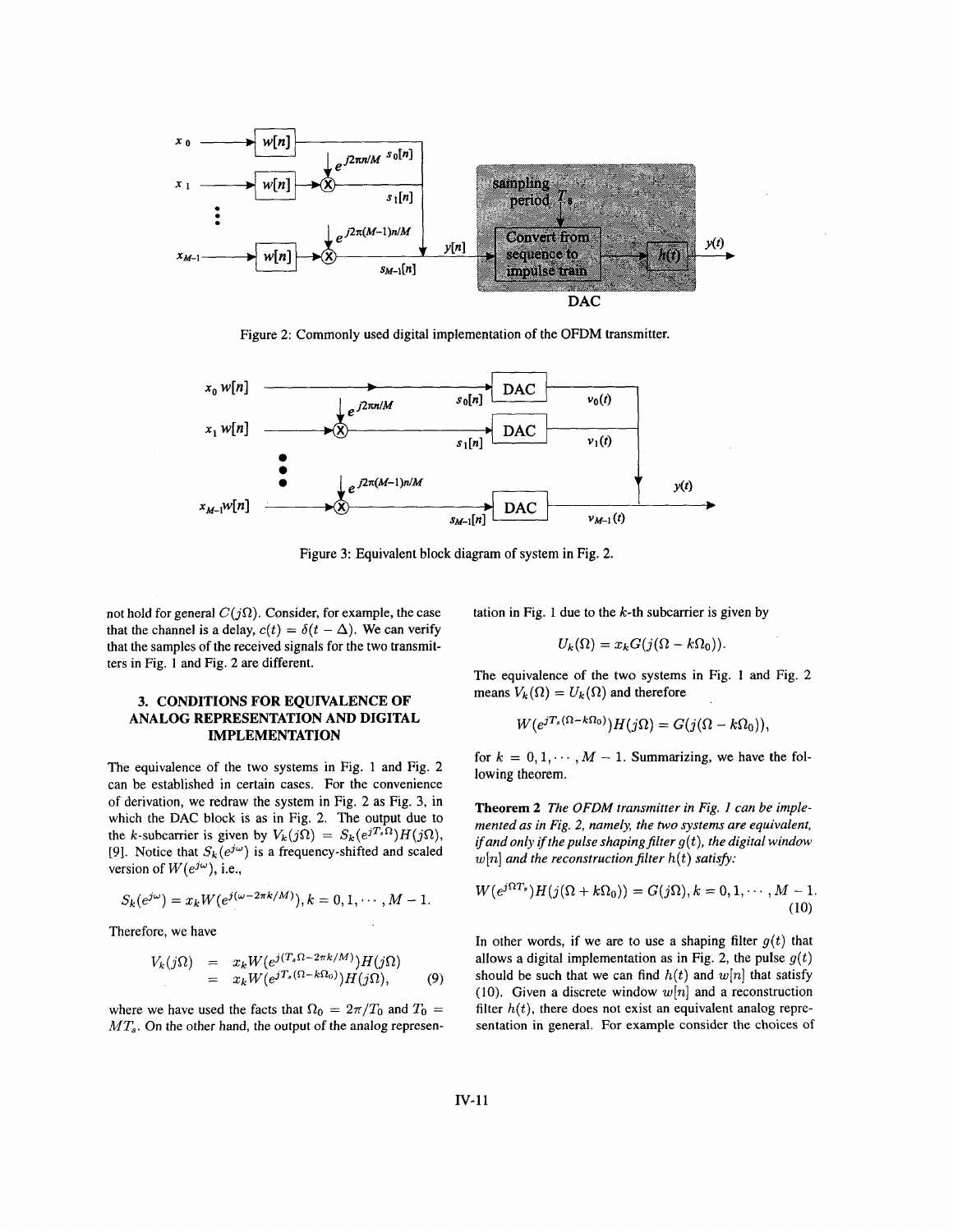

Figure 2: Commonly used digital implementation of the OFDM transmitter.



Figure **3:** Equivalent block diagram of system in Fig. **2.** 

not hold for general  $C(j\Omega)$ . Consider, for example, the case that the channel is a delay,  $c(t) = \delta(t - \Delta)$ . We can verify that the samples of the received signals for the two transmitters in [Fig.](#page-0-0) **1** and Fig. 2 are different.

## **3. CONDITIONS FOR EQUIVALENCE OF ANALOG REPRESENTATION AND DIGITAL IMPLEMENTATION**

The equivalence of the two systems in [Fig. 1](#page-0-0) and Fig. 2 can be established in certain cases. For the convenience *of* derivation, we redraw the system in Fig. 2 as Fig. **3,** in which the **DAC** block is as in Fig. **2.** The output due to the k-subcarrier is given by  $V_k(j\Omega) = S_k(e^{jT_s\Omega})H(j\Omega)$ , [9]. Notice that  $S_k(e^{j\omega})$  is a frequency-shifted and scaled version of  $W(e^{j\omega})$ , i.e.,

$$
S_k(e^{j\omega}) = x_k W(e^{j(\omega - 2\pi k/M)}), k = 0, 1, \cdots, M - 1.
$$

Therefore, we have

$$
V_k(j\Omega) = x_k W(e^{j(T_s\Omega - 2\pi k/M)})H(j\Omega)
$$
  
=  $x_k W(e^{jT_s(\Omega - k\Omega_0)})H(j\Omega),$  (9)

where we have used the facts that  $\Omega_0 = 2\pi/T_0$  and  $T_0 =$  $MT_s$ . On the other hand, the output of the analog representation in [Fig. 1](#page-0-0) due to the  $k$ -th subcarrier is given by

$$
U_k(\Omega) = x_k G(j(\Omega - k\Omega_0))
$$

The equivalence of the two systems in [Fig. 1](#page-0-0) and Fig. 2 means  $V_k(\Omega) = U_k(\Omega)$  and therefore

$$
W(e^{jT_s(\Omega - k\Omega_0)})H(j\Omega) = G(j(\Omega - k\Omega_0))
$$

for  $k = 0, 1, \dots, M - 1$ . Summarizing, we have the following theorem.

**Theorem** *2 The OFDM transmitter in [Fig. 1](#page-0-0) can be implemented as in Fig. 2, namely, the two systems are equivalent, if and only if the pulse shaping filter*  $g(t)$ *, the digital window*  $w[n]$  and the reconstruction filter  $h(t)$  satisfy:

$$
W(e^{j\Omega T_s})H(j(\Omega+k\Omega_0))=G(j\Omega), k=0,1,\cdots,M-1.
$$
\n(10)

In other words, if we are to use a shaping filter  $g(t)$  that allows a digital implementation as in Fig. 2, the pulse  $g(t)$ should be such that we can find  $h(t)$  and  $w[n]$  that satisfy (10). Given a discrete window  $w[n]$  and a reconstruction filter  $h(t)$ , there does not exist an equivalent analog representation in general. For example consider the choices of